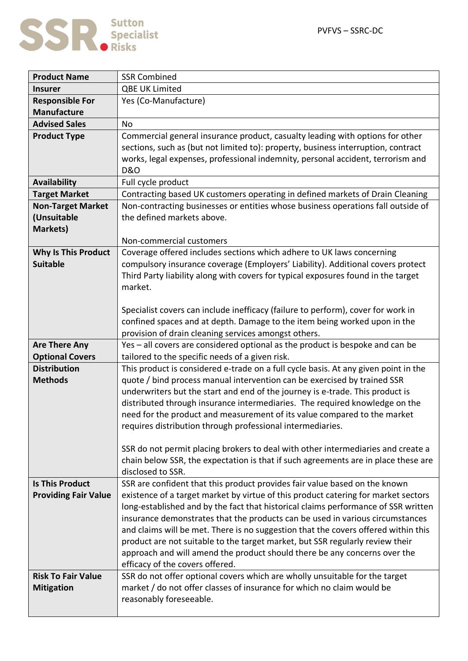

 $\blacksquare$ 

| <b>Product Name</b>         | <b>SSR Combined</b>                                                                                                                                                      |
|-----------------------------|--------------------------------------------------------------------------------------------------------------------------------------------------------------------------|
| <b>Insurer</b>              | QBE UK Limited                                                                                                                                                           |
| <b>Responsible For</b>      | Yes (Co-Manufacture)                                                                                                                                                     |
| <b>Manufacture</b>          |                                                                                                                                                                          |
| <b>Advised Sales</b>        | <b>No</b>                                                                                                                                                                |
| <b>Product Type</b>         | Commercial general insurance product, casualty leading with options for other                                                                                            |
|                             | sections, such as (but not limited to): property, business interruption, contract                                                                                        |
|                             | works, legal expenses, professional indemnity, personal accident, terrorism and                                                                                          |
|                             | <b>D&amp;O</b>                                                                                                                                                           |
| <b>Availability</b>         | Full cycle product                                                                                                                                                       |
| <b>Target Market</b>        | Contracting based UK customers operating in defined markets of Drain Cleaning                                                                                            |
| <b>Non-Target Market</b>    | Non-contracting businesses or entities whose business operations fall outside of                                                                                         |
| (Unsuitable                 | the defined markets above.                                                                                                                                               |
| <b>Markets)</b>             |                                                                                                                                                                          |
|                             | Non-commercial customers                                                                                                                                                 |
| <b>Why Is This Product</b>  | Coverage offered includes sections which adhere to UK laws concerning                                                                                                    |
| <b>Suitable</b>             | compulsory insurance coverage (Employers' Liability). Additional covers protect                                                                                          |
|                             | Third Party liability along with covers for typical exposures found in the target<br>market.                                                                             |
|                             |                                                                                                                                                                          |
|                             | Specialist covers can include inefficacy (failure to perform), cover for work in                                                                                         |
|                             | confined spaces and at depth. Damage to the item being worked upon in the                                                                                                |
|                             | provision of drain cleaning services amongst others.                                                                                                                     |
| <b>Are There Any</b>        | Yes - all covers are considered optional as the product is bespoke and can be                                                                                            |
| <b>Optional Covers</b>      | tailored to the specific needs of a given risk.                                                                                                                          |
| <b>Distribution</b>         | This product is considered e-trade on a full cycle basis. At any given point in the                                                                                      |
| <b>Methods</b>              | quote / bind process manual intervention can be exercised by trained SSR                                                                                                 |
|                             | underwriters but the start and end of the journey is e-trade. This product is                                                                                            |
|                             | distributed through insurance intermediaries. The required knowledge on the                                                                                              |
|                             | need for the product and measurement of its value compared to the market                                                                                                 |
|                             | requires distribution through professional intermediaries.                                                                                                               |
|                             |                                                                                                                                                                          |
|                             | SSR do not permit placing brokers to deal with other intermediaries and create a                                                                                         |
|                             | chain below SSR, the expectation is that if such agreements are in place these are                                                                                       |
| <b>Is This Product</b>      | disclosed to SSR.                                                                                                                                                        |
|                             | SSR are confident that this product provides fair value based on the known                                                                                               |
| <b>Providing Fair Value</b> | existence of a target market by virtue of this product catering for market sectors<br>long-established and by the fact that historical claims performance of SSR written |
|                             | insurance demonstrates that the products can be used in various circumstances                                                                                            |
|                             | and claims will be met. There is no suggestion that the covers offered within this                                                                                       |
|                             | product are not suitable to the target market, but SSR regularly review their                                                                                            |
|                             | approach and will amend the product should there be any concerns over the                                                                                                |
|                             | efficacy of the covers offered.                                                                                                                                          |
| <b>Risk To Fair Value</b>   | SSR do not offer optional covers which are wholly unsuitable for the target                                                                                              |
| <b>Mitigation</b>           | market / do not offer classes of insurance for which no claim would be                                                                                                   |
|                             | reasonably foreseeable.                                                                                                                                                  |
|                             |                                                                                                                                                                          |